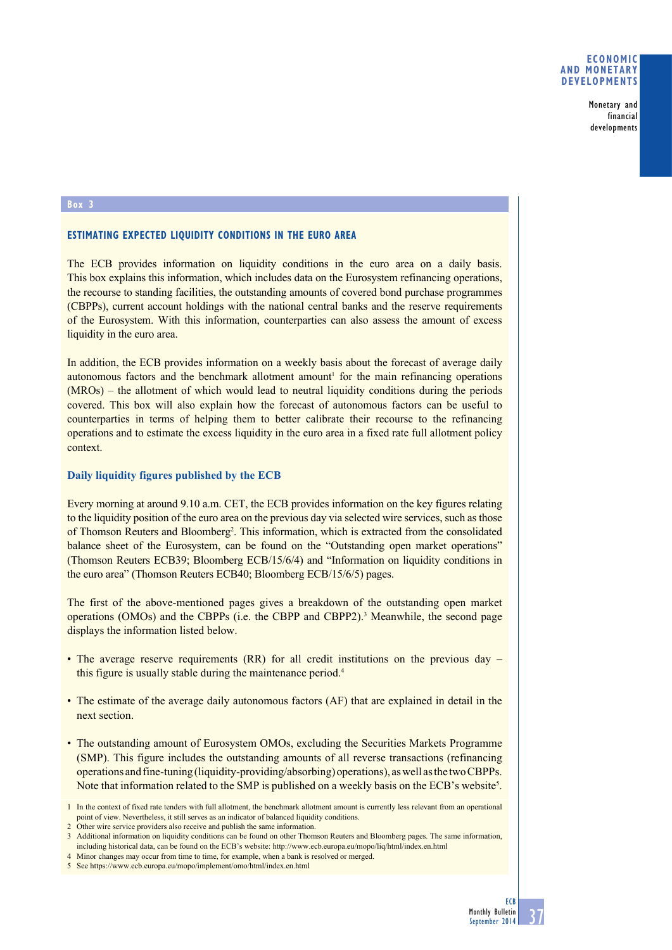## **Economic and monetary developments**

Monetary and financial developments

#### **Box 3**

## **Estimating expected liquidity conditions in the euro area**

The ECB provides information on liquidity conditions in the euro area on a daily basis. This box explains this information, which includes data on the Eurosystem refinancing operations, the recourse to standing facilities, the outstanding amounts of covered bond purchase programmes (CBPPs), current account holdings with the national central banks and the reserve requirements of the Eurosystem. With this information, counterparties can also assess the amount of excess liquidity in the euro area.

In addition, the ECB provides information on a weekly basis about the forecast of average daily  $autonomous$  factors and the benchmark allotment amount<sup>1</sup> for the main refinancing operations (MROs) – the allotment of which would lead to neutral liquidity conditions during the periods covered. This box will also explain how the forecast of autonomous factors can be useful to counterparties in terms of helping them to better calibrate their recourse to the refinancing operations and to estimate the excess liquidity in the euro area in a fixed rate full allotment policy context.

## **Daily liquidity figures published by the ECB**

Every morning at around 9.10 a.m. CET, the ECB provides information on the key figures relating to the liquidity position of the euro area on the previous day via selected wire services, such as those of Thomson Reuters and Bloomberg<sup>2</sup>. This information, which is extracted from the consolidated balance sheet of the Eurosystem, can be found on the "Outstanding open market operations" (Thomson Reuters ECB39; Bloomberg ECB/15/6/4) and "Information on liquidity conditions in the euro area" (Thomson Reuters ECB40; Bloomberg ECB/15/6/5) pages.

The first of the above-mentioned pages gives a breakdown of the outstanding open market operations (OMOs) and the CBPPs (i.e. the CBPP and CBPP2).3 Meanwhile, the second page displays the information listed below.

- The average reserve requirements (RR) for all credit institutions on the previous day this figure is usually stable during the maintenance period.<sup>4</sup>
- The estimate of the average daily autonomous factors (AF) that are explained in detail in the next section.
- The outstanding amount of Eurosystem OMOs, excluding the Securities Markets Programme (SMP). This figure includes the outstanding amounts of all reverse transactions (refinancing operations and fine-tuning (liquidity-providing/absorbing) operations), as well as the two CBPPs. Note that information related to the SMP is published on a weekly basis on the ECB's website<sup>5</sup>.

<sup>1</sup> In the context of fixed rate tenders with full allotment, the benchmark allotment amount is currently less relevant from an operational point of view. Nevertheless, it still serves as an indicator of balanced liquidity conditions.

<sup>2</sup> Other wire service providers also receive and publish the same information.

<sup>3</sup> Additional information on liquidity conditions can be found on other Thomson Reuters and Bloomberg pages. The same information, including historical data, can be found on the ECB's website: <http://www.ecb.europa.eu/mopo/liq/html/index.en.html>

<sup>4</sup> Minor changes may occur from time to time, for example, when a bank is resolved or merged.

<sup>5</sup> See <https://www.ecb.europa.eu/mopo/implement/omo/html/index.en.html>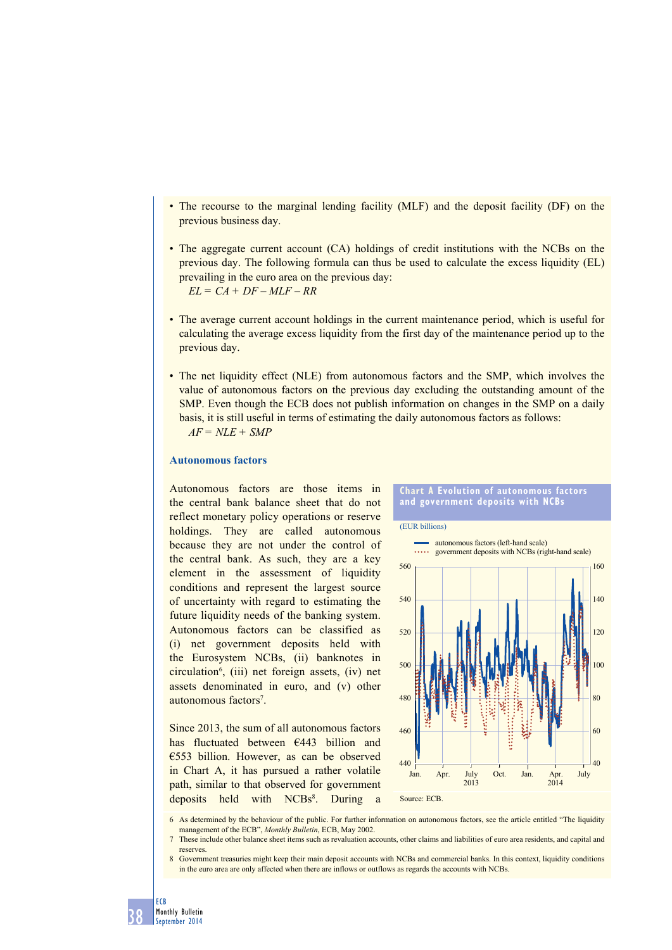- The recourse to the marginal lending facility (MLF) and the deposit facility (DF) on the previous business day.
- The aggregate current account (CA) holdings of credit institutions with the NCBs on the previous day. The following formula can thus be used to calculate the excess liquidity (EL) prevailing in the euro area on the previous day: *EL = CA + DF – MLF – RR*
- The average current account holdings in the current maintenance period, which is useful for calculating the average excess liquidity from the first day of the maintenance period up to the previous day.
- The net liquidity effect (NLE) from autonomous factors and the SMP, which involves the value of autonomous factors on the previous day excluding the outstanding amount of the SMP. Even though the ECB does not publish information on changes in the SMP on a daily basis, it is still useful in terms of estimating the daily autonomous factors as follows: *AF = NLE + SMP*

## **Autonomous factors**

Autonomous factors are those items in the central bank balance sheet that do not reflect monetary policy operations or reserve holdings. They are called autonomous because they are not under the control of the central bank. As such, they are a key element in the assessment of liquidity conditions and represent the largest source of uncertainty with regard to estimating the future liquidity needs of the banking system. Autonomous factors can be classified as (i) net government deposits held with the Eurosystem NCBs, (ii) banknotes in circulation6 , (iii) net foreign assets, (iv) net assets denominated in euro, and (v) other autonomous factors<sup>7</sup>.

Since 2013, the sum of all autonomous factors has fluctuated between €443 billion and €553 billion. However, as can be observed in Chart A, it has pursued a rather volatile path, similar to that observed for government deposits held with NCBs<sup>8</sup>. During a



- 6 As determined by the behaviour of the public. For further information on autonomous factors, see the article entitled "The liquidity management of the ECB", *Monthly Bulletin*, ECB, May 2002.
- 7 These include other balance sheet items such as revaluation accounts, other claims and liabilities of euro area residents, and capital and reserves.
- 8 Government treasuries might keep their main deposit accounts with NCBs and commercial banks. In this context, liquidity conditions in the euro area are only affected when there are inflows or outflows as regards the accounts with NCBs.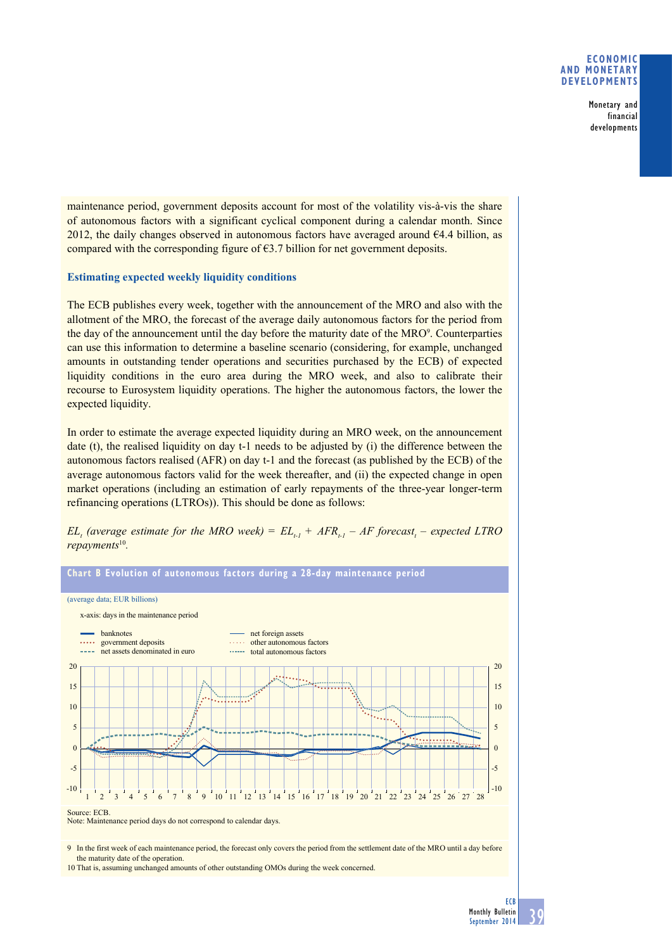## **Economic and monetary developments**

Monetary and financial developments

maintenance period, government deposits account for most of the volatility vis-à-vis the share of autonomous factors with a significant cyclical component during a calendar month. Since 2012, the daily changes observed in autonomous factors have averaged around  $64.4$  billion, as compared with the corresponding figure of  $63.7$  billion for net government deposits.

## **Estimating expected weekly liquidity conditions**

The ECB publishes every week, together with the announcement of the MRO and also with the allotment of the MRO, the forecast of the average daily autonomous factors for the period from the day of the announcement until the day before the maturity date of the MRO<sup>9</sup>. Counterparties can use this information to determine a baseline scenario (considering, for example, unchanged amounts in outstanding tender operations and securities purchased by the ECB) of expected liquidity conditions in the euro area during the MRO week, and also to calibrate their recourse to Eurosystem liquidity operations. The higher the autonomous factors, the lower the expected liquidity.

In order to estimate the average expected liquidity during an MRO week, on the announcement date (t), the realised liquidity on day t-1 needs to be adjusted by (i) the difference between the autonomous factors realised (AFR) on day t-1 and the forecast (as published by the ECB) of the average autonomous factors valid for the week thereafter, and (ii) the expected change in open market operations (including an estimation of early repayments of the three-year longer-term refinancing operations (LTROs)). This should be done as follows:





9 In the first week of each maintenance period, the forecast only covers the period from the settlement date of the MRO until a day before the maturity date of the operation.

10 That is, assuming unchanged amounts of other outstanding OMOs during the week concerned.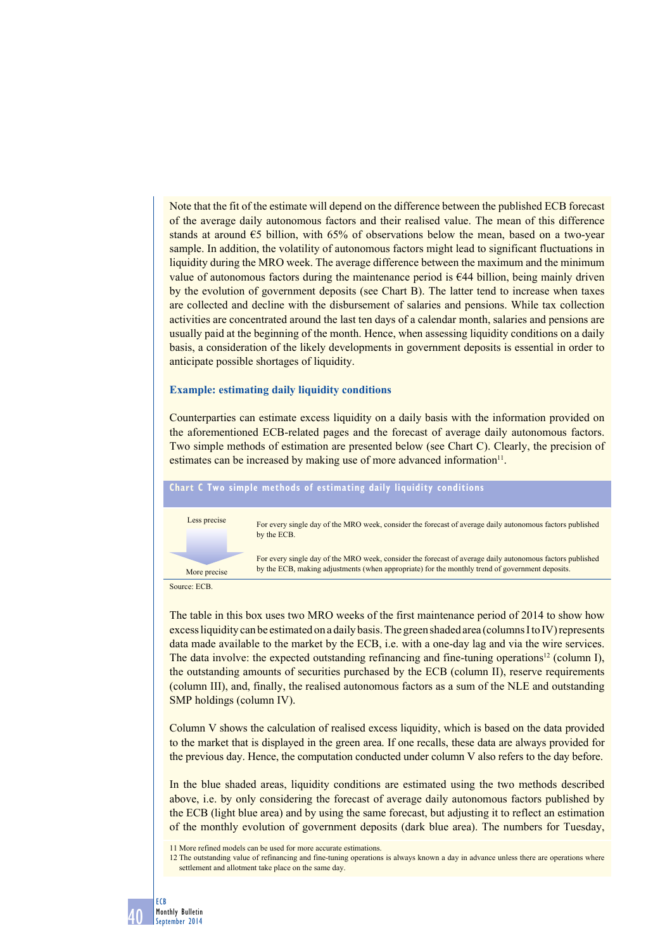Note that the fit of the estimate will depend on the difference between the published ECB forecast of the average daily autonomous factors and their realised value. The mean of this difference stands at around  $\epsilon$ 5 billion, with 65% of observations below the mean, based on a two-year sample. In addition, the volatility of autonomous factors might lead to significant fluctuations in liquidity during the MRO week. The average difference between the maximum and the minimum value of autonomous factors during the maintenance period is €44 billion, being mainly driven by the evolution of government deposits (see Chart B). The latter tend to increase when taxes are collected and decline with the disbursement of salaries and pensions. While tax collection activities are concentrated around the last ten days of a calendar month, salaries and pensions are usually paid at the beginning of the month. Hence, when assessing liquidity conditions on a daily basis, a consideration of the likely developments in government deposits is essential in order to anticipate possible shortages of liquidity.

### **Example: estimating daily liquidity conditions**

Counterparties can estimate excess liquidity on a daily basis with the information provided on the aforementioned ECB-related pages and the forecast of average daily autonomous factors. Two simple methods of estimation are presented below (see Chart C). Clearly, the precision of estimates can be increased by making use of more advanced information<sup>11</sup>.

## **chart c two simple methods of estimating daily liquidity conditions**



Source: ECB.

The table in this box uses two MRO weeks of the first maintenance period of 2014 to show how excess liquidity can be estimated on a daily basis. The green shaded area (columns I to IV) represents data made available to the market by the ECB, i.e. with a one-day lag and via the wire services. The data involve: the expected outstanding refinancing and fine-tuning operations<sup>12</sup> (column I), the outstanding amounts of securities purchased by the ECB (column II), reserve requirements (column III), and, finally, the realised autonomous factors as a sum of the NLE and outstanding SMP holdings (column IV).

Column V shows the calculation of realised excess liquidity, which is based on the data provided to the market that is displayed in the green area. If one recalls, these data are always provided for the previous day. Hence, the computation conducted under column V also refers to the day before.

In the blue shaded areas, liquidity conditions are estimated using the two methods described above, i.e. by only considering the forecast of average daily autonomous factors published by the ECB (light blue area) and by using the same forecast, but adjusting it to reflect an estimation of the monthly evolution of government deposits (dark blue area). The numbers for Tuesday,

11 More refined models can be used for more accurate estimations.

12 The outstanding value of refinancing and fine-tuning operations is always known a day in advance unless there are operations where settlement and allotment take place on the same day.

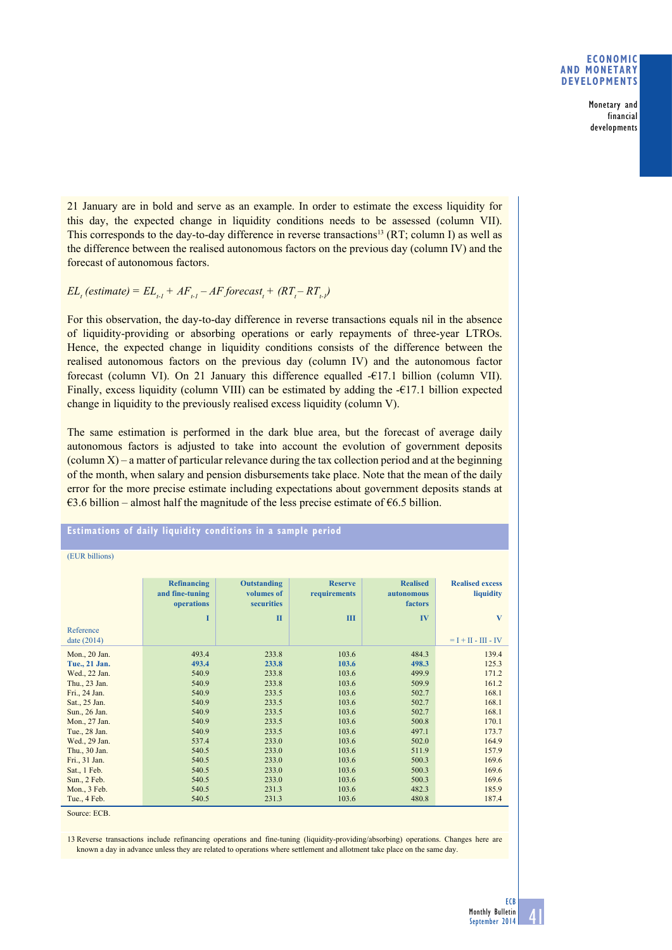## **Economic and monetary developments**

Monetary and financial developments

21 January are in bold and serve as an example. In order to estimate the excess liquidity for this day, the expected change in liquidity conditions needs to be assessed (column VII). This corresponds to the day-to-day difference in reverse transactions<sup>13</sup> (RT; column I) as well as the difference between the realised autonomous factors on the previous day (column IV) and the forecast of autonomous factors.

## $EL_{t}$  (estimate) =  $EL_{t-1} + AF_{t-1} - AF$  forecast<sub>t</sub> + (RT<sub>t</sub>-RT<sub>t-1</sub>)

For this observation, the day-to-day difference in reverse transactions equals nil in the absence of liquidity-providing or absorbing operations or early repayments of three-year LTROs. Hence, the expected change in liquidity conditions consists of the difference between the realised autonomous factors on the previous day (column IV) and the autonomous factor forecast (column VI). On 21 January this difference equalled -€17.1 billion (column VII). Finally, excess liquidity (column VIII) can be estimated by adding the  $-\epsilon$ 17.1 billion expected change in liquidity to the previously realised excess liquidity (column V).

The same estimation is performed in the dark blue area, but the forecast of average daily autonomous factors is adjusted to take into account the evolution of government deposits  $\alpha$  (column X) – a matter of particular relevance during the tax collection period and at the beginning of the month, when salary and pension disbursements take place. Note that the mean of the daily error for the more precise estimate including expectations about government deposits stands at  $€3.6$  billion – almost half the magnitude of the less precise estimate of  $€6.5$  billion.

**estimations of daily liquidity conditions in a sample period**

(EUR billions)

| Reference<br>date (2014) | <b>Refinancing</b><br>and fine-tuning<br>operations<br>I | <b>Outstanding</b><br>volumes of<br><b>securities</b><br>$\mathbf{I}$ | <b>Reserve</b><br>requirements<br>Ш | <b>Realised</b><br>autonomous<br>factors<br>IV | <b>Realised excess</b><br>liquidity<br>$\mathbf{V}$<br>$=$ I + II - III - IV |
|--------------------------|----------------------------------------------------------|-----------------------------------------------------------------------|-------------------------------------|------------------------------------------------|------------------------------------------------------------------------------|
| Mon., 20 Jan.            | 493.4                                                    | 233.8                                                                 | 103.6                               | 484.3                                          | 139.4                                                                        |
| Tue., 21 Jan.            | 493.4                                                    | 233.8                                                                 | 103.6                               | 498.3                                          | 125.3                                                                        |
| Wed., 22 Jan.            | 540.9                                                    | 233.8                                                                 | 103.6                               | 499.9                                          | 171.2                                                                        |
| Thu., 23 Jan.            | 540.9                                                    | 233.8                                                                 | 103.6                               | 509.9                                          | 161.2                                                                        |
| Fri., 24 Jan.            | 540.9                                                    | 233.5                                                                 | 103.6                               | 502.7                                          | 168.1                                                                        |
| Sat., 25 Jan.            | 540.9                                                    | 233.5                                                                 | 103.6                               | 502.7                                          | 168.1                                                                        |
| Sun., 26 Jan.            | 540.9                                                    | 233.5                                                                 | 103.6                               | 502.7                                          | 168.1                                                                        |
| Mon., 27 Jan.            | 540.9                                                    | 233.5                                                                 | 103.6                               | 500.8                                          | 170.1                                                                        |
| Tue., 28 Jan.            | 540.9                                                    | 233.5                                                                 | 103.6                               | 497.1                                          | 173.7                                                                        |
| Wed., 29 Jan.            | 537.4                                                    | 233.0                                                                 | 103.6                               | 502.0                                          | 164.9                                                                        |
| Thu., 30 Jan.            | 540.5                                                    | 233.0                                                                 | 103.6                               | 511.9                                          | 157.9                                                                        |
| Fri., 31 Jan.            | 540.5                                                    | 233.0                                                                 | 103.6                               | 500.3                                          | 169.6                                                                        |
| Sat., 1 Feb.             | 540.5                                                    | 233.0                                                                 | 103.6                               | 500.3                                          | 169.6                                                                        |
| Sun., 2 Feb.             | 540.5                                                    | 233.0                                                                 | 103.6                               | 500.3                                          | 169.6                                                                        |
| Mon., 3 Feb.             | 540.5                                                    | 231.3                                                                 | 103.6                               | 482.3                                          | 185.9                                                                        |
| Tue., 4 Feb.             | 540.5                                                    | 231.3                                                                 | 103.6                               | 480.8                                          | 187.4                                                                        |

Source: ECB.

13 Reverse transactions include refinancing operations and fine-tuning (liquidity-providing/absorbing) operations. Changes here are known a day in advance unless they are related to operations where settlement and allotment take place on the same day.